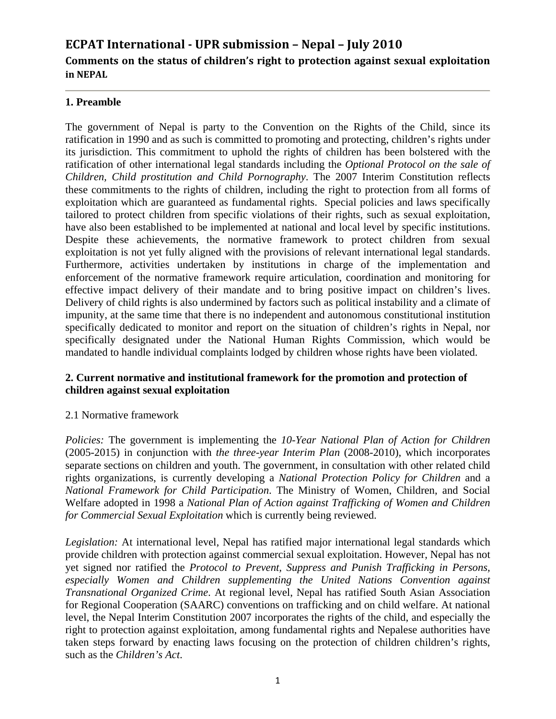# **ECPAT International UPR submission – Nepal – July 2010 Comments on the status of children's right to protection against sexual exploitation in NEPAL**

# **1. Preamble**

The government of Nepal is party to the Convention on the Rights of the Child, since its ratification in 1990 and as such is committed to promoting and protecting, children's rights under its jurisdiction. This commitment to uphold the rights of children has been bolstered with the ratification of other international legal standards including the *Optional Protocol on the sale of Children, Child prostitution and Child Pornography*. The 2007 Interim Constitution reflects these commitments to the rights of children, including the right to protection from all forms of exploitation which are guaranteed as fundamental rights. Special policies and laws specifically tailored to protect children from specific violations of their rights, such as sexual exploitation, have also been established to be implemented at national and local level by specific institutions. Despite these achievements, the normative framework to protect children from sexual exploitation is not yet fully aligned with the provisions of relevant international legal standards. Furthermore, activities undertaken by institutions in charge of the implementation and enforcement of the normative framework require articulation, coordination and monitoring for effective impact delivery of their mandate and to bring positive impact on children's lives. Delivery of child rights is also undermined by factors such as political instability and a climate of impunity, at the same time that there is no independent and autonomous constitutional institution specifically dedicated to monitor and report on the situation of children's rights in Nepal, nor specifically designated under the National Human Rights Commission, which would be mandated to handle individual complaints lodged by children whose rights have been violated.

#### **2. Current normative and institutional framework for the promotion and protection of children against sexual exploitation**

# 2.1 Normative framework

*Policies:* The government is implementing the *10-Year National Plan of Action for Children* (2005-2015) in conjunction with *the three-year Interim Plan* (2008-2010), which incorporates separate sections on children and youth. The government, in consultation with other related child rights organizations, is currently developing a *National Protection Policy for Children* and a *National Framework for Child Participation*. The Ministry of Women, Children, and Social Welfare adopted in 1998 a *National Plan of Action against Trafficking of Women and Children for Commercial Sexual Exploitation* which is currently being reviewed.

*Legislation:* At international level, Nepal has ratified major international legal standards which provide children with protection against commercial sexual exploitation. However, Nepal has not yet signed nor ratified the *Protocol to Prevent, Suppress and Punish Trafficking in Persons, especially Women and Children supplementing the United Nations Convention against Transnational Organized Crime*. At regional level, Nepal has ratified South Asian Association for Regional Cooperation (SAARC) conventions on trafficking and on child welfare. At national level, the Nepal Interim Constitution 2007 incorporates the rights of the child, and especially the right to protection against exploitation, among fundamental rights and Nepalese authorities have taken steps forward by enacting laws focusing on the protection of children children's rights, such as the *Children's Act*.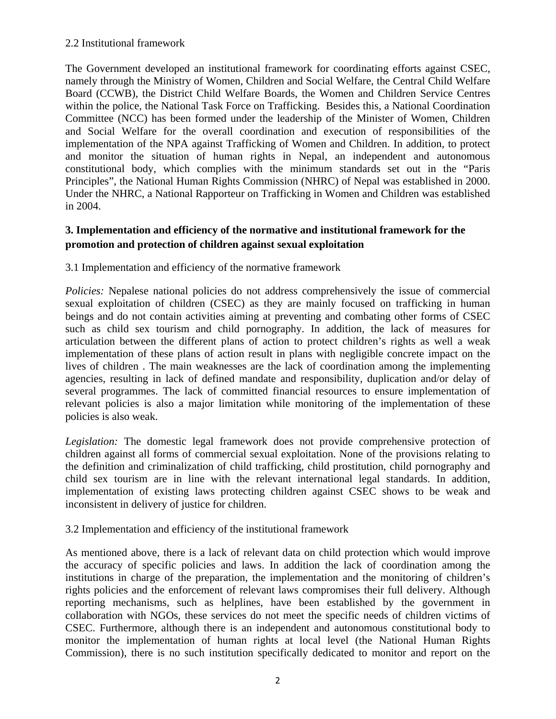#### 2.2 Institutional framework

The Government developed an institutional framework for coordinating efforts against CSEC, namely through the Ministry of Women, Children and Social Welfare, the Central Child Welfare Board (CCWB), the District Child Welfare Boards, the Women and Children Service Centres within the police, the National Task Force on Trafficking. Besides this, a National Coordination Committee (NCC) has been formed under the leadership of the Minister of Women, Children and Social Welfare for the overall coordination and execution of responsibilities of the implementation of the NPA against Trafficking of Women and Children. In addition, to protect and monitor the situation of human rights in Nepal, an independent and autonomous constitutional body, which complies with the minimum standards set out in the "Paris Principles", the National Human Rights Commission (NHRC) of Nepal was established in 2000. Under the NHRC, a National Rapporteur on Trafficking in Women and Children was established in 2004.

# **3. Implementation and efficiency of the normative and institutional framework for the promotion and protection of children against sexual exploitation**

3.1 Implementation and efficiency of the normative framework

*Policies:* Nepalese national policies do not address comprehensively the issue of commercial sexual exploitation of children (CSEC) as they are mainly focused on trafficking in human beings and do not contain activities aiming at preventing and combating other forms of CSEC such as child sex tourism and child pornography. In addition, the lack of measures for articulation between the different plans of action to protect children's rights as well a weak implementation of these plans of action result in plans with negligible concrete impact on the lives of children . The main weaknesses are the lack of coordination among the implementing agencies, resulting in lack of defined mandate and responsibility, duplication and/or delay of several programmes. The lack of committed financial resources to ensure implementation of relevant policies is also a major limitation while monitoring of the implementation of these policies is also weak.

*Legislation:* The domestic legal framework does not provide comprehensive protection of children against all forms of commercial sexual exploitation. None of the provisions relating to the definition and criminalization of child trafficking, child prostitution, child pornography and child sex tourism are in line with the relevant international legal standards. In addition, implementation of existing laws protecting children against CSEC shows to be weak and inconsistent in delivery of justice for children.

3.2 Implementation and efficiency of the institutional framework

As mentioned above, there is a lack of relevant data on child protection which would improve the accuracy of specific policies and laws. In addition the lack of coordination among the institutions in charge of the preparation, the implementation and the monitoring of children's rights policies and the enforcement of relevant laws compromises their full delivery. Although reporting mechanisms, such as helplines, have been established by the government in collaboration with NGOs, these services do not meet the specific needs of children victims of CSEC. Furthermore, although there is an independent and autonomous constitutional body to monitor the implementation of human rights at local level (the National Human Rights Commission), there is no such institution specifically dedicated to monitor and report on the